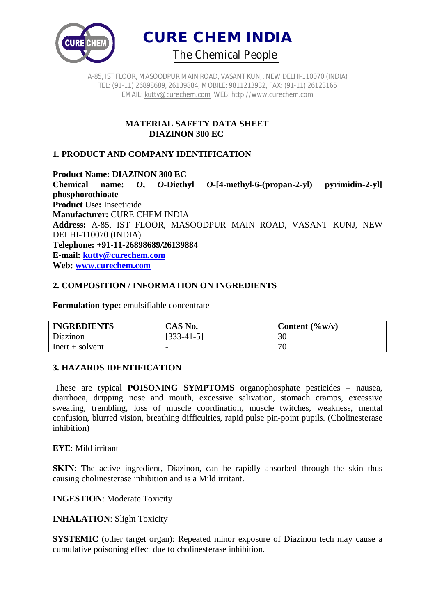



### **MATERIAL SAFETY DATA SHEET DIAZINON 300 EC**

## **1. PRODUCT AND COMPANY IDENTIFICATION**

**Product Name: DIAZINON 300 EC**

**Chemical name:** *O***,** *O***-Diethyl** *O***-[4-methyl-6-(propan-2-yl) pyrimidin-2-yl] phosphorothioate Product Use:** Insecticide **Manufacturer:** CURE CHEM INDIA **Address:** A-85, IST FLOOR, MASOODPUR MAIN ROAD, VASANT KUNJ, NEW DELHI-110070 (INDIA) **Telephone: +91-11-26898689/26139884 E-mail: kutty@curechem.com Web: www.curechem.com**

### **2. COMPOSITION / INFORMATION ON INGREDIENTS**

**Formulation type:** emulsifiable concentrate

| <b>INGREDIENTS</b> | CAS No.      | Content $(\frac{6}{\text{W}})(v)$ |
|--------------------|--------------|-----------------------------------|
| Diazinon           | $[333-41-5]$ | 30                                |
| $Inert + solvent$  |              | пr                                |

#### **3. HAZARDS IDENTIFICATION**

These are typical **POISONING SYMPTOMS** organophosphate pesticides – nausea, diarrhoea, dripping nose and mouth, excessive salivation, stomach cramps, excessive sweating, trembling, loss of muscle coordination, muscle twitches, weakness, mental confusion, blurred vision, breathing difficulties, rapid pulse pin-point pupils. (Cholinesterase inhibition)

**EYE**: Mild irritant

**SKIN**: The active ingredient, Diazinon, can be rapidly absorbed through the skin thus causing cholinesterase inhibition and is a Mild irritant.

**INGESTION**: Moderate Toxicity

**INHALATION**: Slight Toxicity

**SYSTEMIC** (other target organ): Repeated minor exposure of Diazinon tech may cause a cumulative poisoning effect due to cholinesterase inhibition.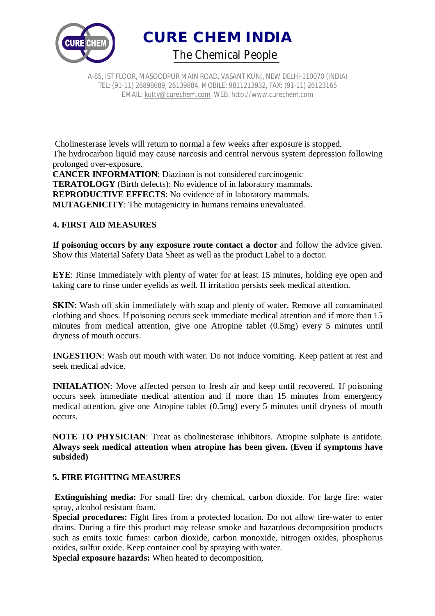



Cholinesterase levels will return to normal a few weeks after exposure is stopped. The hydrocarbon liquid may cause narcosis and central nervous system depression following prolonged over-exposure. **CANCER INFORMATION**: Diazinon is not considered carcinogenic

**TERATOLOGY** (Birth defects): No evidence of in laboratory mammals. **REPRODUCTIVE EFFECTS**: No evidence of in laboratory mammals. **MUTAGENICITY**: The mutagenicity in humans remains unevaluated.

## **4. FIRST AID MEASURES**

**If poisoning occurs by any exposure route contact a doctor** and follow the advice given. Show this Material Safety Data Sheet as well as the product Label to a doctor.

**EYE**: Rinse immediately with plenty of water for at least 15 minutes, holding eye open and taking care to rinse under eyelids as well. If irritation persists seek medical attention.

**SKIN**: Wash off skin immediately with soap and plenty of water. Remove all contaminated clothing and shoes. If poisoning occurs seek immediate medical attention and if more than 15 minutes from medical attention, give one Atropine tablet (0.5mg) every 5 minutes until dryness of mouth occurs.

**INGESTION**: Wash out mouth with water. Do not induce vomiting. Keep patient at rest and seek medical advice.

**INHALATION:** Move affected person to fresh air and keep until recovered. If poisoning occurs seek immediate medical attention and if more than 15 minutes from emergency medical attention, give one Atropine tablet (0.5mg) every 5 minutes until dryness of mouth occurs.

**NOTE TO PHYSICIAN**: Treat as cholinesterase inhibitors. Atropine sulphate is antidote. **Always seek medical attention when atropine has been given. (Even if symptoms have subsided)**

## **5. FIRE FIGHTING MEASURES**

**Extinguishing media:** For small fire: dry chemical, carbon dioxide. For large fire: water spray, alcohol resistant foam.

**Special procedures:** Fight fires from a protected location. Do not allow fire-water to enter drains. During a fire this product may release smoke and hazardous decomposition products such as emits toxic fumes: carbon dioxide, carbon monoxide, nitrogen oxides, phosphorus oxides, sulfur oxide. Keep container cool by spraying with water.

**Special exposure hazards:** When heated to decomposition,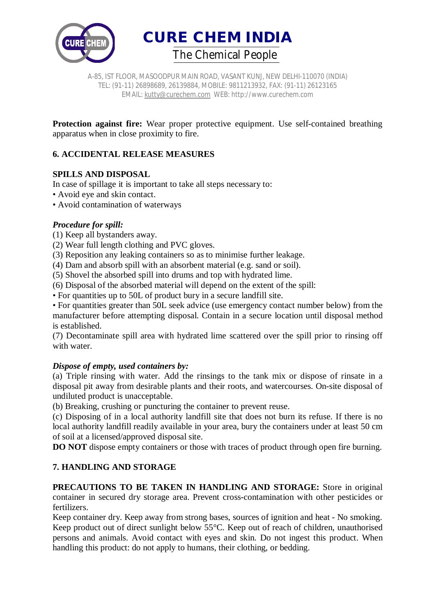

**CURE CHEM INDIA**  *The Chemical People*

A-85, IST FLOOR, MASOODPUR MAIN ROAD, VASANT KUNJ, NEW DELHI-110070 (INDIA) TEL: (91-11) 26898689, 26139884, MOBILE: 9811213932, FAX: (91-11) 26123165 EMAIL: kutty@curechem.com WEB: http://www.curechem.com

**Protection against fire:** Wear proper protective equipment. Use self-contained breathing apparatus when in close proximity to fire.

## **6. ACCIDENTAL RELEASE MEASURES**

## **SPILLS AND DISPOSAL**

In case of spillage it is important to take all steps necessary to:

- Avoid eye and skin contact.
- Avoid contamination of waterways

### *Procedure for spill:*

(1) Keep all bystanders away.

(2) Wear full length clothing and PVC gloves.

(3) Reposition any leaking containers so as to minimise further leakage.

(4) Dam and absorb spill with an absorbent material (e.g. sand or soil).

(5) Shovel the absorbed spill into drums and top with hydrated lime.

(6) Disposal of the absorbed material will depend on the extent of the spill:

• For quantities up to 50L of product bury in a secure landfill site.

• For quantities greater than 50L seek advice (use emergency contact number below) from the manufacturer before attempting disposal. Contain in a secure location until disposal method is established.

(7) Decontaminate spill area with hydrated lime scattered over the spill prior to rinsing off with water.

#### *Dispose of empty, used containers by:*

(a) Triple rinsing with water. Add the rinsings to the tank mix or dispose of rinsate in a disposal pit away from desirable plants and their roots, and watercourses. On-site disposal of undiluted product is unacceptable.

(b) Breaking, crushing or puncturing the container to prevent reuse.

(c) Disposing of in a local authority landfill site that does not burn its refuse. If there is no local authority landfill readily available in your area, bury the containers under at least 50 cm of soil at a licensed/approved disposal site.

**DO NOT** dispose empty containers or those with traces of product through open fire burning.

## **7. HANDLING AND STORAGE**

**PRECAUTIONS TO BE TAKEN IN HANDLING AND STORAGE:** Store in original container in secured dry storage area. Prevent cross-contamination with other pesticides or fertilizers.

Keep container dry. Keep away from strong bases, sources of ignition and heat - No smoking. Keep product out of direct sunlight below 55°C. Keep out of reach of children, unauthorised persons and animals. Avoid contact with eyes and skin. Do not ingest this product. When handling this product: do not apply to humans, their clothing, or bedding.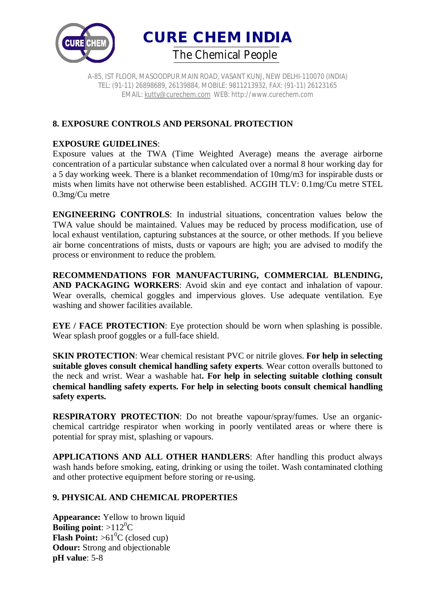



## **8. EXPOSURE CONTROLS AND PERSONAL PROTECTION**

### **EXPOSURE GUIDELINES**:

Exposure values at the TWA (Time Weighted Average) means the average airborne concentration of a particular substance when calculated over a normal 8 hour working day for a 5 day working week. There is a blanket recommendation of 10mg/m3 for inspirable dusts or mists when limits have not otherwise been established. ACGIH TLV: 0.1mg/Cu metre STEL 0.3mg/Cu metre

**ENGINEERING CONTROLS**: In industrial situations, concentration values below the TWA value should be maintained. Values may be reduced by process modification, use of local exhaust ventilation, capturing substances at the source, or other methods. If you believe air borne concentrations of mists, dusts or vapours are high; you are advised to modify the process or environment to reduce the problem.

**RECOMMENDATIONS FOR MANUFACTURING, COMMERCIAL BLENDING, AND PACKAGING WORKERS**: Avoid skin and eye contact and inhalation of vapour. Wear overalls, chemical goggles and impervious gloves. Use adequate ventilation. Eye washing and shower facilities available.

**EYE** / **FACE PROTECTION**: Eye protection should be worn when splashing is possible. Wear splash proof goggles or a full-face shield.

**SKIN PROTECTION**: Wear chemical resistant PVC or nitrile gloves. **For help in selecting suitable gloves consult chemical handling safety experts**. Wear cotton overalls buttoned to the neck and wrist. Wear a washable hat**. For help in selecting suitable clothing consult chemical handling safety experts. For help in selecting boots consult chemical handling safety experts.**

**RESPIRATORY PROTECTION**: Do not breathe vapour/spray/fumes. Use an organicchemical cartridge respirator when working in poorly ventilated areas or where there is potential for spray mist, splashing or vapours.

**APPLICATIONS AND ALL OTHER HANDLERS**: After handling this product always wash hands before smoking, eating, drinking or using the toilet. Wash contaminated clothing and other protective equipment before storing or re-using.

### **9. PHYSICAL AND CHEMICAL PROPERTIES**

**Appearance:** Yellow to brown liquid **Boiling point:**  $>112^0C$ **Flash Point:**  $>61^{\circ}$ C (closed cup) **Odour:** Strong and objectionable **pH value**: 5-8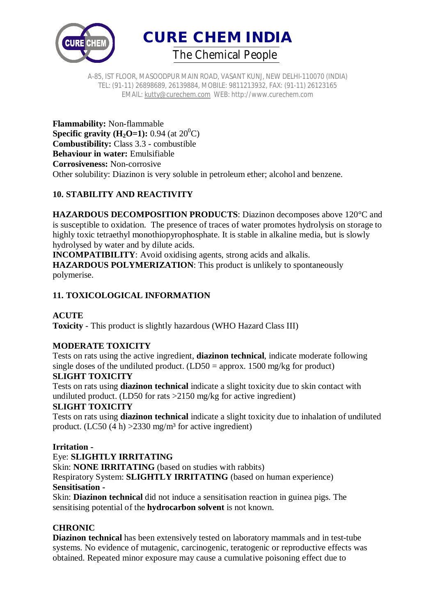

**CURE CHEM INDIA**  *The Chemical People*

A-85, IST FLOOR, MASOODPUR MAIN ROAD, VASANT KUNJ, NEW DELHI-110070 (INDIA) TEL: (91-11) 26898689, 26139884, MOBILE: 9811213932, FAX: (91-11) 26123165 EMAIL: kutty@curechem.com WEB: http://www.curechem.com

**Flammability:** Non-flammable **Specific gravity (H<sub>2</sub>O=1):** 0.94 (at  $20^{\circ}$ C) **Combustibility:** Class 3.3 - combustible **Behaviour in water:** Emulsifiable **Corrosiveness:** Non-corrosive Other solubility: Diazinon is very soluble in petroleum ether; alcohol and benzene.

# **10. STABILITY AND REACTIVITY**

**HAZARDOUS DECOMPOSITION PRODUCTS**: Diazinon decomposes above 120°C and is susceptible to oxidation. The presence of traces of water promotes hydrolysis on storage to highly toxic tetraethyl monothiopyrophosphate. It is stable in alkaline media, but is slowly hydrolysed by water and by dilute acids.

**INCOMPATIBILITY**: Avoid oxidising agents, strong acids and alkalis. **HAZARDOUS POLYMERIZATION**: This product is unlikely to spontaneously polymerise.

# **11. TOXICOLOGICAL INFORMATION**

# **ACUTE**

**Toxicity** - This product is slightly hazardous (WHO Hazard Class III)

# **MODERATE TOXICITY**

Tests on rats using the active ingredient, **diazinon technical**, indicate moderate following single doses of the undiluted product.  $(LD50 =$  approx. 1500 mg/kg for product)

# **SLIGHT TOXICITY**

Tests on rats using **diazinon technical** indicate a slight toxicity due to skin contact with undiluted product. (LD50 for rats >2150 mg/kg for active ingredient)

# **SLIGHT TOXICITY**

Tests on rats using **diazinon technical** indicate a slight toxicity due to inhalation of undiluted product. (LC50 (4 h)  $>2330$  mg/m<sup>3</sup> for active ingredient)

# **Irritation -**

Eye: **SLIGHTLY IRRITATING**

Skin: **NONE IRRITATING** (based on studies with rabbits) Respiratory System: **SLIGHTLY IRRITATING** (based on human experience) **Sensitisation -**

Skin: **Diazinon technical** did not induce a sensitisation reaction in guinea pigs. The sensitising potential of the **hydrocarbon solvent** is not known.

# **CHRONIC**

**Diazinon technical** has been extensively tested on laboratory mammals and in test-tube systems. No evidence of mutagenic, carcinogenic, teratogenic or reproductive effects was obtained. Repeated minor exposure may cause a cumulative poisoning effect due to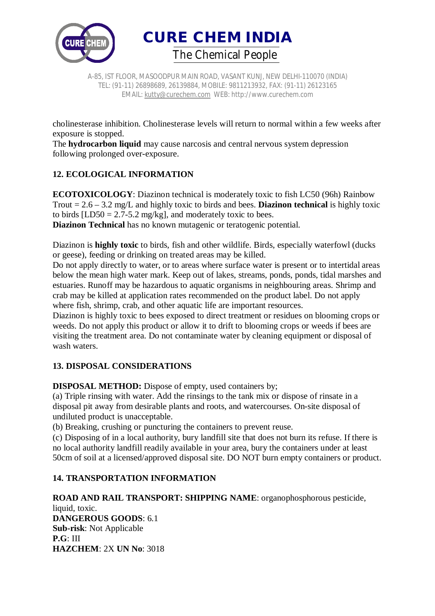

**CURE CHEM INDIA**  *The Chemical People*

A-85, IST FLOOR, MASOODPUR MAIN ROAD, VASANT KUNJ, NEW DELHI-110070 (INDIA) TEL: (91-11) 26898689, 26139884, MOBILE: 9811213932, FAX: (91-11) 26123165 EMAIL: kutty@curechem.com WEB: http://www.curechem.com

cholinesterase inhibition. Cholinesterase levels will return to normal within a few weeks after exposure is stopped.

The **hydrocarbon liquid** may cause narcosis and central nervous system depression following prolonged over-exposure.

# **12. ECOLOGICAL INFORMATION**

**ECOTOXICOLOGY**: Diazinon technical is moderately toxic to fish LC50 (96h) Rainbow Trout = 2.6 – 3.2 mg/L and highly toxic to birds and bees. **Diazinon technical** is highly toxic to birds  $[LD50 = 2.7-5.2$  mg/kg], and moderately toxic to bees.

**Diazinon Technical** has no known mutagenic or teratogenic potential.

Diazinon is **highly toxic** to birds, fish and other wildlife. Birds, especially waterfowl (ducks or geese), feeding or drinking on treated areas may be killed.

Do not apply directly to water, or to areas where surface water is present or to intertidal areas below the mean high water mark. Keep out of lakes, streams, ponds, ponds, tidal marshes and estuaries. Runoff may be hazardous to aquatic organisms in neighbouring areas. Shrimp and crab may be killed at application rates recommended on the product label. Do not apply where fish, shrimp, crab, and other aquatic life are important resources.

Diazinon is highly toxic to bees exposed to direct treatment or residues on blooming crops or weeds. Do not apply this product or allow it to drift to blooming crops or weeds if bees are visiting the treatment area. Do not contaminate water by cleaning equipment or disposal of wash waters.

# **13. DISPOSAL CONSIDERATIONS**

**DISPOSAL METHOD:** Dispose of empty, used containers by;

(a) Triple rinsing with water. Add the rinsings to the tank mix or dispose of rinsate in a disposal pit away from desirable plants and roots, and watercourses. On-site disposal of undiluted product is unacceptable.

(b) Breaking, crushing or puncturing the containers to prevent reuse.

(c) Disposing of in a local authority, bury landfill site that does not burn its refuse. If there is no local authority landfill readily available in your area, bury the containers under at least 50cm of soil at a licensed/approved disposal site. DO NOT burn empty containers or product.

# **14. TRANSPORTATION INFORMATION**

**ROAD AND RAIL TRANSPORT: SHIPPING NAME**: organophosphorous pesticide, liquid, toxic. **DANGEROUS GOODS**: 6.1 **Sub-risk**: Not Applicable **P.G**: III **HAZCHEM**: 2X **UN No**: 3018